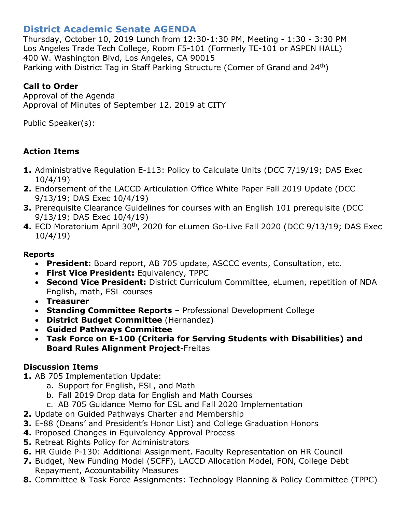# **District Academic Senate AGENDA**

Thursday, October 10, 2019 Lunch from 12:30-1:30 PM, Meeting - 1:30 - 3:30 PM Los Angeles Trade Tech College, Room F5-101 (Formerly TE-101 or ASPEN HALL) 400 W. Washington Blvd, Los Angeles, CA 90015 Parking with District Tag in Staff Parking Structure (Corner of Grand and 24<sup>th</sup>)

### **Call to Order**

Approval of the Agenda Approval of Minutes of September 12, 2019 at CITY

Public Speaker(s):

# **Action Items**

- **1.** Administrative Regulation E-113: Policy to Calculate Units (DCC 7/19/19; DAS Exec 10/4/19)
- **2.** Endorsement of the LACCD Articulation Office White Paper Fall 2019 Update (DCC 9/13/19; DAS Exec 10/4/19)
- **3.** Prerequisite Clearance Guidelines for courses with an English 101 prerequisite (DCC 9/13/19; DAS Exec 10/4/19)
- **4.** ECD Moratorium April 30<sup>th</sup>, 2020 for eLumen Go-Live Fall 2020 (DCC 9/13/19; DAS Exec 10/4/19)

#### **Reports**

- **President:** Board report, AB 705 update, ASCCC events, Consultation, etc.
- **First Vice President:** Equivalency, TPPC
- **Second Vice President:** District Curriculum Committee, eLumen, repetition of NDA English, math, ESL courses
- **Treasurer**
- **Standing Committee Reports** Professional Development College
- **District Budget Committee** (Hernandez)
- **Guided Pathways Committee**
- **Task Force on E-100 (Criteria for Serving Students with Disabilities) and Board Rules Alignment Project**-Freitas

# **Discussion Items**

**1.** AB 705 Implementation Update:

- a. Support for English, ESL, and Math
- b. Fall 2019 Drop data for English and Math Courses
- c. AB 705 Guidance Memo for ESL and Fall 2020 Implementation
- **2.** Update on Guided Pathways Charter and Membership
- **3.** E-88 (Deans' and President's Honor List) and College Graduation Honors
- **4.** Proposed Changes in Equivalency Approval Process
- **5.** Retreat Rights Policy for Administrators
- **6.** HR Guide P-130: Additional Assignment. Faculty Representation on HR Council
- **7.** Budget, New Funding Model (SCFF), LACCD Allocation Model, FON, College Debt Repayment, Accountability Measures
- **8.** Committee & Task Force Assignments: Technology Planning & Policy Committee (TPPC)